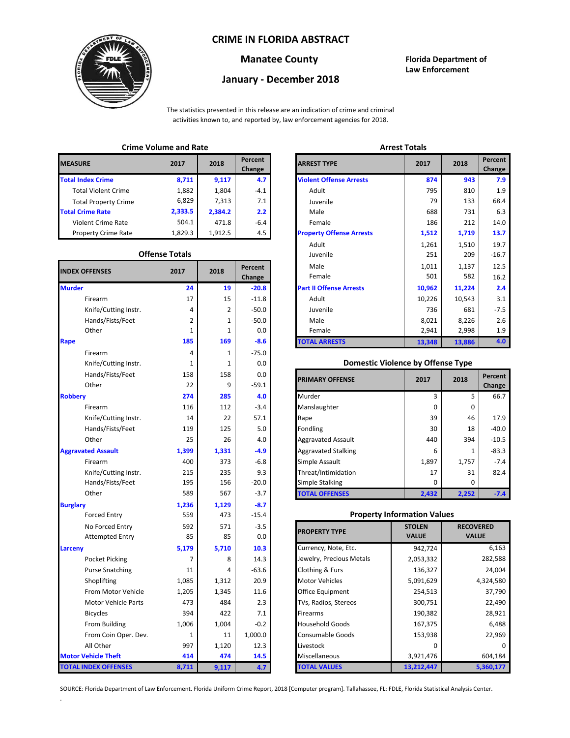## **CRIME IN FLORIDA ABSTRACT**



# **January - December 2018**

**Manatee County Florida Department of Law Enforcement**

The statistics presented in this release are an indication of crime and criminal activities known to, and reported by, law enforcement agencies for 2018.

## **Crime Volume and Rate Arrest Totals**

| <b>MEASURE</b>              | 2017    | 2018    | Percent<br>Change | <b>ARREST TYPE</b>             |
|-----------------------------|---------|---------|-------------------|--------------------------------|
| <b>Total Index Crime</b>    | 8,711   | 9,117   | 4.7               | <b>Violent Offense Arrests</b> |
| <b>Total Violent Crime</b>  | 1,882   | 1,804   | $-4.1$            | Adult                          |
| <b>Total Property Crime</b> | 6,829   | 7,313   | 7.1               | Juvenile                       |
| <b>Total Crime Rate</b>     | 2,333.5 | 2,384.2 | $2.2^{\circ}$     | Male                           |
| Violent Crime Rate          | 504.1   | 471.8   | -6.4              | Female                         |
| <b>Property Crime Rate</b>  | 1,829.3 | 1,912.5 | 4.5               | <b>Property Offense Arrest</b> |

#### **Offense Totals**

| <b>INDEX OFFENSES</b>       | 2017         | 2018  | Percent<br>Change | Male<br>Female                           | 1,011<br>501  | 1,137<br>582     | 12.5<br>16.2 |
|-----------------------------|--------------|-------|-------------------|------------------------------------------|---------------|------------------|--------------|
| <b>Murder</b>               | 24           | 19    | $-20.8$           | <b>Part II Offense Arrests</b>           | 10,962        | 11,224           | 2.4          |
| Firearm                     | 17           | 15    | $-11.8$           | Adult                                    | 10,226        | 10,543           | 3.1          |
| Knife/Cutting Instr.        | 4            | 2     | $-50.0$           | Juvenile                                 | 736           | 681              | $-7.5$       |
| Hands/Fists/Feet            | 2            | 1     | $-50.0$           | Male                                     | 8,021         | 8,226            | 2.6          |
| Other                       | 1            | 1     | 0.0               | Female                                   | 2,941         | 2,998            | 1.9          |
| Rape                        | 185          | 169   | $-8.6$            | <b>TOTAL ARRESTS</b>                     | 13,348        | 13,886           | 4.0          |
| Firearm                     | 4            | 1     | $-75.0$           |                                          |               |                  |              |
| Knife/Cutting Instr.        | 1            | 1     | 0.0               | <b>Domestic Violence by Offense Type</b> |               |                  |              |
| Hands/Fists/Feet            | 158          | 158   | 0.0               |                                          |               |                  | Percent      |
| Other                       | 22           | 9     | $-59.1$           | <b>PRIMARY OFFENSE</b>                   | 2017          | 2018             | Change       |
| <b>Robbery</b>              | 274          | 285   | 4.0               | Murder                                   | 3             | 5                | 66.7         |
| Firearm                     | 116          | 112   | $-3.4$            | Manslaughter                             | 0             | 0                |              |
| Knife/Cutting Instr.        | 14           | 22    | 57.1              | Rape                                     | 39            | 46               | 17.9         |
| Hands/Fists/Feet            | 119          | 125   | 5.0               | Fondling                                 | 30            | 18               | $-40.0$      |
| Other                       | 25           | 26    | 4.0               | <b>Aggravated Assault</b>                | 440           | 394              | $-10.5$      |
| <b>Aggravated Assault</b>   | 1,399        | 1,331 | $-4.9$            | <b>Aggravated Stalking</b>               | 6             | $\mathbf{1}$     | $-83.3$      |
| Firearm                     | 400          | 373   | $-6.8$            | Simple Assault                           | 1,897         | 1,757            | $-7.4$       |
| Knife/Cutting Instr.        | 215          | 235   | 9.3               | Threat/Intimidation                      | 17            | 31               | 82.4         |
| Hands/Fists/Feet            | 195          | 156   | $-20.0$           | Simple Stalking                          | 0             | $\Omega$         |              |
| Other                       | 589          | 567   | $-3.7$            | <b>TOTAL OFFENSES</b>                    | 2,432         | 2,252            | $-7.4$       |
| <b>Burglary</b>             | 1,236        | 1,129 | $-8.7$            |                                          |               |                  |              |
| <b>Forced Entry</b>         | 559          | 473   | $-15.4$           | <b>Property Information Values</b>       |               |                  |              |
| No Forced Entry             | 592          | 571   | $-3.5$            |                                          | <b>STOLEN</b> | <b>RECOVERED</b> |              |
| <b>Attempted Entry</b>      | 85           | 85    | 0.0               | <b>PROPERTY TYPE</b>                     | <b>VALUE</b>  | <b>VALUE</b>     |              |
| Larceny                     | 5,179        | 5,710 | 10.3              | Currency, Note, Etc.                     | 942,724       |                  | 6,163        |
| Pocket Picking              | 7            | 8     | 14.3              | Jewelry, Precious Metals                 | 2,053,332     |                  | 282,588      |
| <b>Purse Snatching</b>      | 11           | 4     | $-63.6$           | <b>Clothing &amp; Furs</b>               | 136,327       |                  | 24,004       |
| Shoplifting                 | 1,085        | 1,312 | 20.9              | <b>Motor Vehicles</b>                    | 5,091,629     |                  | 4,324,580    |
| From Motor Vehicle          | 1,205        | 1,345 | 11.6              | Office Equipment                         | 254,513       | 37,790           |              |
| <b>Motor Vehicle Parts</b>  | 473          | 484   | 2.3               | TVs, Radios, Stereos                     | 300,751       |                  | 22,490       |
| <b>Bicycles</b>             | 394          | 422   | 7.1               | Firearms                                 | 190,382       |                  | 28,921       |
| From Building               | 1,006        | 1,004 | $-0.2$            | <b>Household Goods</b>                   | 167,375       |                  | 6,488        |
| From Coin Oper. Dev.        | $\mathbf{1}$ | 11    | 1,000.0           | Consumable Goods                         | 153,938       |                  | 22,969       |
| All Other                   | 997          | 1,120 | 12.3              | Livestock                                | 0             |                  | $\Omega$     |
| <b>Motor Vehicle Theft</b>  | 414          | 474   | 14.5              | Miscellaneous                            | 3,921,476     |                  | 604,184      |
| <b>TOTAL INDEX OFFENSES</b> | 8,711        | 9,117 | 4.7               | <b>TOTAL VALUES</b>                      | 13,212,447    |                  | 5,360,177    |

.

| CHILLE VULUILE ANU RALE |                       |         |                   | AU COL TULGIO                   |        |        |                   |  |
|-------------------------|-----------------------|---------|-------------------|---------------------------------|--------|--------|-------------------|--|
| RΕ                      | 2017                  | 2018    | Percent<br>Change | <b>ARREST TYPE</b>              | 2017   | 2018   | Percent<br>Change |  |
| dex Crime               | 8,711                 | 9,117   | 4.7               | <b>Violent Offense Arrests</b>  | 874    | 943    | 7.9               |  |
| ıl Violent Crime        | 1,882                 | 1,804   | $-4.1$            | Adult                           | 795    | 810    | 1.9               |  |
| Il Property Crime       | 6,829                 | 7,313   | 7.1               | Juvenile                        | 79     | 133    | 68.4              |  |
| me Rate                 | 2,333.5               | 2,384.2 | 2.2               | Male                            | 688    | 731    | 6.3               |  |
| ent Crime Rate          | 504.1                 | 471.8   | $-6.4$            | Female                          | 186    | 212    | 14.0              |  |
| erty Crime Rate         | 1,829.3               | 1,912.5 | 4.5               | <b>Property Offense Arrests</b> | 1,512  | 1,719  | 13.7              |  |
|                         |                       |         |                   | Adult                           | 1,261  | 1,510  | 19.7              |  |
|                         | <b>Offense Totals</b> |         |                   | Juvenile                        | 251    | 209    | $-16.7$           |  |
| <b>FFENSES</b>          | 2017                  | 2018    | Percent           | Male                            | 1,011  | 1,137  | 12.5              |  |
|                         |                       |         | Change            | Female                          | 501    | 582    | 16.2              |  |
|                         | 24                    | 19      | $-20.8$           | <b>Part II Offense Arrests</b>  | 10,962 | 11,224 | 2.4               |  |
| Firearm                 | 17                    | 15      | $-11.8$           | Adult                           | 10,226 | 10,543 | 3.1               |  |
| Knife/Cutting Instr.    | 4                     | 2       | $-50.0$           | Juvenile                        | 736    | 681    | $-7.5$            |  |
| Hands/Fists/Feet        | 2                     | 1       | $-50.0$           | Male                            | 8,021  | 8,226  | 2.6               |  |
| Other                   | 1                     | 1       | 0.0               | Female                          | 2,941  | 2,998  | 1.9               |  |
|                         | 185                   | 169     | $-8.6$            | <b>TOTAL ARRESTS</b>            | 13,348 | 13,886 | 4.0               |  |
|                         |                       |         |                   |                                 |        |        |                   |  |

## 1 **Domestic Violence by Offense Type**

| Hands/Fists/Feet<br>Other | 158<br>22 | 158<br>9 | 0.0<br>$-59.1$ | <b>PRIMARY OFFENSE</b>     | 2017         | 2018  | Percent<br>Change |
|---------------------------|-----------|----------|----------------|----------------------------|--------------|-------|-------------------|
|                           | 274       | 285      | 4.0            | Murder                     |              | 5     | 66.7              |
| Firearm                   | 116       | 112      | $-3.4$         | Manslaughter               | $\Omega$     | 0     |                   |
| Knife/Cutting Instr.      | 14        | 22       | 57.1           | Rape                       | 39           | 46    | 17.9              |
| Hands/Fists/Feet          | 119       | 125      | 5.0            | Fondling                   | 30           | 18    | $-40.0$           |
| Other                     | 25        | 26       | 4.0            | <b>Aggravated Assault</b>  | 440          | 394   | $-10.5$           |
| ted Assault               | 1,399     | 1,331    | $-4.9$         | <b>Aggravated Stalking</b> | 6            | 1     | $-83.3$           |
| Firearm                   | 400       | 373      | $-6.8$         | Simple Assault             | 1,897        | 1,757 | $-7.4$            |
| Knife/Cutting Instr.      | 215       | 235      | 9.3            | Threat/Intimidation        | 17           | 31    | 82.4              |
| Hands/Fists/Feet          | 195       | 156      | $-20.0$        | <b>Simple Stalking</b>     | <sup>0</sup> | 0     |                   |
| Other                     | 589       | 567      | $-3.7$         | <b>TOTAL OFFENSES</b>      | 2,432        | 2,252 | $-7.4$            |

## 559 **Property Information Values**

| 592   | 571   | $-3.5$  | <b>PROPERTY TYPE</b>     | <b>STOLEN</b> | <b>RECOVERED</b> |
|-------|-------|---------|--------------------------|---------------|------------------|
| 85    | 85    | 0.0     |                          | <b>VALUE</b>  | <b>VALUE</b>     |
| 5,179 | 5,710 | 10.3    | Currency, Note, Etc.     | 942,724       | 6,163            |
| 7     | 8     | 14.3    | Jewelry, Precious Metals | 2,053,332     | 282,588          |
| 11    | 4     | $-63.6$ | Clothing & Furs          | 136,327       | 24,004           |
| 1,085 | 1,312 | 20.9    | <b>Motor Vehicles</b>    | 5,091,629     | 4,324,580        |
| 1,205 | 1,345 | 11.6    | <b>Office Equipment</b>  | 254,513       | 37,790           |
| 473   | 484   | 2.3     | TVs, Radios, Stereos     | 300,751       | 22,490           |
| 394   | 422   | 7.1     | <b>Firearms</b>          | 190,382       | 28,921           |
| 1,006 | 1,004 | $-0.2$  | <b>Household Goods</b>   | 167,375       | 6,488            |
| 1     | 11    | 1,000.0 | <b>Consumable Goods</b>  | 153,938       | 22,969           |
| 997   | 1,120 | 12.3    | Livestock                | 0             |                  |
| 414   | 474   | 14.5    | <b>Miscellaneous</b>     | 3,921,476     | 604,184          |
| 8,711 | 9,117 | 4.7     | <b>TOTAL VALUES</b>      | 13,212,447    | 5,360,177        |

SOURCE: Florida Department of Law Enforcement. Florida Uniform Crime Report, 2018 [Computer program]. Tallahassee, FL: FDLE, Florida Statistical Analysis Center.